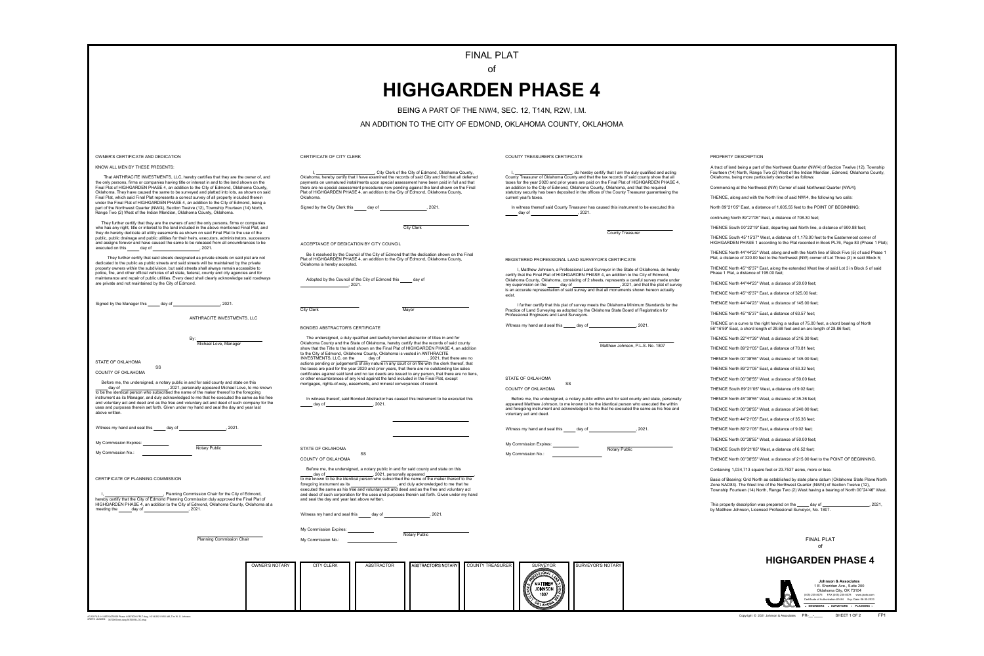#### PROPERTY DESCRIPTION

A tract of land being a part of the Northwest Quarter (NW/4) of Section Twelve (12), Township Fourteen (14) North, Range Two (2) West of the Indian Meridian, Edmond, Oklahoma County, Oklahoma, being more particularly described as follows:

Commencing at the Northwest (NW) Corner of said Northwest Quarter (NW/4);

THENCE, along and with the North line of said NW/4, the following two calls:

North 89°21'05" East, a distance of 1,605.55 feet to the POINT OF BEGINNING;

continuing North 89°21'05" East, a distance of 708.30 feet;

THENCE South 00°22'19" East, departing said North line, a distance of 900.88 feet;

THENCE South 45°15'37" West, a distance of 1,178.00 feet to the Easternmost corner of HIGHGARDEN PHASE 1 according to the Plat recorded in Book PL76, Page 83 (Phase 1 Plat);

THENCE North 44°44'23" West, along and with the North line of Block Five (5) of said Phase 1 Plat, a distance of 320.00 feet to the Northwest (NW) corner of Lot Three (3) in said Block 5;

THENCE North 45°15'37" East, along the extended West line of said Lot 3 in Block 5 of said Phase 1 Plat, a distance of 195.00 feet;

THENCE North 44°44'23" West, a distance of 20.00 feet;

THENCE North 45°15'37" East, a distance of 325.00 feet;

THENCE North 44°44'23" West, a distance of 145.00 feet;

THENCE North 45°15'37" East, a distance of 63.57 feet;

This property description was prepared on the \_\_\_\_\_ day of \_\_\_\_\_\_\_\_\_\_\_\_\_\_\_\_\_\_\_\_, 2021, by Matthew Johnson, Licensed Professional Surveyor, No. 1807.

THENCE on a curve to the right having a radius of 75.00 feet, a chord bearing of North 56°16'59" East, a chord length of 28.68 feet and an arc length of 28.86 feet;

THENCE North 22°41'39" West, a distance of 216.30 feet;

THENCE North 89°21'05" East, a distance of 70.81 feet;

THENCE North 00°38'55" West, a distance of 145.00 feet;

THENCE North 89°21'05" East, a distance of 53.32 feet;

THENCE North 00°38'55" West, a distance of 50.00 feet; THENCE South 89°21'05" West, a distance of 9.02 feet;

THENCE North 45°38'55" West, a distance of 35.36 feet;

THENCE North 00°38'55" West, a distance of 240.00 feet;

THENCE North 44°21'05" East, a distance of 35.36 feet;

THENCE North 89°21'05" East, a distance of 9.02 feet;

THENCE North 00°38'55" West, a distance of 50.00 feet;

THENCE South 89°21'05" West, a distance of 6.52 feet;

THENCE North 00°38'55" West, a distance of 215.00 feet to the POINT OF BEGINNING.

Containing 1,034,713 square feet or 23.7537 acres, more or less.

Basis of Bearing: Grid North as established by state plane datum (Oklahoma State Plane North Zone NAD83). The West line of the Northwest Quarter (NW/4) of Section Twelve (12), Township Fourteen (14) North, Range Two (2) West having a bearing of North 00°24'46" West.

# **HIGHGARDEN PHASE 4**

### **HIGHGARDEN PHASE 4**





1 E. Sheridan Ave., Suite 200 Certificate of Authorization #1484 Exp. Date: 06-30-2023 Oklahoma City, OK 73104 **Johnson & Associates** (405) 235-8075 FAX (405) 235-8078 www.jaokc.com

ENGINEERS · SURVEYORS · PLANNERS ·

Copyright © 2021 Johnson & Associates PR-\_\_-\_\_\_\_\_\_\_\_\_\_\_\_\_\_\_\_SHEET 1 OF 2

ACAD FILE: H:\3670\3670009 Phase 4\3670009-FPLT.dwg, 10/14/2021 9:56 AM, Tim W. S. Johnson XREFS LOADED: 3670009-bdy.dwg 3670009-LOC.dwg

| <b>OWNER'S NOTARY</b> | <b>CITY CLERK</b> | ABSTRACTOR | ABSTRACTOR'S NOTARY | COUNTY TREASURER | <b>SURVEYOR</b><br><b>MATTHEW</b><br><b>CONSIDERATION</b><br><b>JOHNSON</b> | SURVEYOR'S NOTARY |
|-----------------------|-------------------|------------|---------------------|------------------|-----------------------------------------------------------------------------|-------------------|
|                       |                   |            |                     |                  | المستعصر<br>1350ع<br>محصصہ<br>1807                                          |                   |

AN ADDITION TO THE CITY OF EDMOND, OKLAHOMA COUNTY, OKLAHOMA

BEING A PART OF THE NW/4, SEC. 12, T14N, R2W, I.M.

of

## FINAL PLAT

|                                                                                                                                                                                                                                                                                                                                                                                                                                                                                                                                                                                                                                                                                                                                             | FIN                                                                                                                                                                                                                                                                                                                                                                                                                                                                                                                                                                                                                                                                                                                                                                                                                                                       |
|---------------------------------------------------------------------------------------------------------------------------------------------------------------------------------------------------------------------------------------------------------------------------------------------------------------------------------------------------------------------------------------------------------------------------------------------------------------------------------------------------------------------------------------------------------------------------------------------------------------------------------------------------------------------------------------------------------------------------------------------|-----------------------------------------------------------------------------------------------------------------------------------------------------------------------------------------------------------------------------------------------------------------------------------------------------------------------------------------------------------------------------------------------------------------------------------------------------------------------------------------------------------------------------------------------------------------------------------------------------------------------------------------------------------------------------------------------------------------------------------------------------------------------------------------------------------------------------------------------------------|
|                                                                                                                                                                                                                                                                                                                                                                                                                                                                                                                                                                                                                                                                                                                                             | <b>HIGHGARD</b>                                                                                                                                                                                                                                                                                                                                                                                                                                                                                                                                                                                                                                                                                                                                                                                                                                           |
|                                                                                                                                                                                                                                                                                                                                                                                                                                                                                                                                                                                                                                                                                                                                             |                                                                                                                                                                                                                                                                                                                                                                                                                                                                                                                                                                                                                                                                                                                                                                                                                                                           |
|                                                                                                                                                                                                                                                                                                                                                                                                                                                                                                                                                                                                                                                                                                                                             | BEING A PART OF THE                                                                                                                                                                                                                                                                                                                                                                                                                                                                                                                                                                                                                                                                                                                                                                                                                                       |
|                                                                                                                                                                                                                                                                                                                                                                                                                                                                                                                                                                                                                                                                                                                                             | AN ADDITION TO THE CITY OF ED                                                                                                                                                                                                                                                                                                                                                                                                                                                                                                                                                                                                                                                                                                                                                                                                                             |
| OWNER'S CERTIFICATE AND DEDICATION                                                                                                                                                                                                                                                                                                                                                                                                                                                                                                                                                                                                                                                                                                          | CERTIFICATE OF CITY CLERK                                                                                                                                                                                                                                                                                                                                                                                                                                                                                                                                                                                                                                                                                                                                                                                                                                 |
| KNOW ALL MEN BY THESE PRESENTS:                                                                                                                                                                                                                                                                                                                                                                                                                                                                                                                                                                                                                                                                                                             |                                                                                                                                                                                                                                                                                                                                                                                                                                                                                                                                                                                                                                                                                                                                                                                                                                                           |
| That ANTHRACITE INVESTMENTS, LLC, hereby certifies that they are the owner of, and<br>the only persons, firms or companies having title or interest in and to the land shown on the<br>Final Plat of HIGHGARDEN PHASE 4, an addition to the City of Edmond, Oklahoma County,<br>Oklahoma. They have caused the same to be surveyed and platted into lots, as shown on said<br>Final Plat, which said Final Plat represents a correct survey of all property included therein<br>under the Final Plat of HIGHGARDEN PHASE 4, an addition to the City of Edmond, being a<br>part of the Northwest Quarter (NW/4), Section Twelve (12), Township Fourteen (14) North,<br>Range Two (2) West of the Indian Meridian, Oklahoma County, Oklahoma. | , City Clerk of the City of Edmond, Oklahoma County,<br>Oklahoma, hereby certify that I have examined the records of said City and find that all deferred<br>payments on unmatured installments upon special assessment have been paid in full and that<br>there are no special assessment procedures now pending against the land shown on the Final<br>Plat of HIGHGARDEN PHASE 4, an addition to the City of Edmond, Oklahoma County,<br>Oklahoma.<br>Signed by the City Clerk this<br>day of the control of the control of the control of the control of the control of the control of the control o<br>, 2021.                                                                                                                                                                                                                                       |
| They further certify that they are the owners of and the only persons, firms or companies<br>who has any right, title or interest to the land included in the above mentioned Final Plat, and<br>they do hereby dedicate all utility easements as shown on said Final Plat to the use of the                                                                                                                                                                                                                                                                                                                                                                                                                                                | <b>City Clerk</b>                                                                                                                                                                                                                                                                                                                                                                                                                                                                                                                                                                                                                                                                                                                                                                                                                                         |
| public, public drainage and public utilities for their heirs, executors, administrators, successors<br>and assigns forever and have caused the same to be released from all encumbrances to be<br>executed on this day of the secured on this day of                                                                                                                                                                                                                                                                                                                                                                                                                                                                                        | ACCEPTANCE OF DEDICATION BY CITY COUNCIL                                                                                                                                                                                                                                                                                                                                                                                                                                                                                                                                                                                                                                                                                                                                                                                                                  |
| They further certify that said streets designated as private streets on said plat are not<br>dedicated to the public as public streets and said streets will be maintained by the private<br>property owners within the subdivision, but said streets shall always remain accessible to<br>police, fire, and other official vehicles of all state, federal, county and city agencies and for                                                                                                                                                                                                                                                                                                                                                | Be it resolved by the Council of the City of Edmond that the dedication shown on the Final<br>Plat of HIGHGARDEN PHASE 4, an addition to the City of Edmond, Oklahoma County,<br>Oklahoma is hereby accepted.                                                                                                                                                                                                                                                                                                                                                                                                                                                                                                                                                                                                                                             |
| maintenance and repair of public utilities. Every deed shall clearly acknowledge said roadways<br>are private and not maintained by the City of Edmond.                                                                                                                                                                                                                                                                                                                                                                                                                                                                                                                                                                                     | Adopted by the Council of the City of Edmond this day of<br>$\sim$ , 2021.                                                                                                                                                                                                                                                                                                                                                                                                                                                                                                                                                                                                                                                                                                                                                                                |
| Signed by the Manager this day of the state of the state of the state of the state of the state of the state of the state of the state of the state of the state of the state of the state of the state of the state of the st                                                                                                                                                                                                                                                                                                                                                                                                                                                                                                              | <b>City Clerk</b><br>Mayor                                                                                                                                                                                                                                                                                                                                                                                                                                                                                                                                                                                                                                                                                                                                                                                                                                |
| ANTHRACITE INVESTMENTS, LLC                                                                                                                                                                                                                                                                                                                                                                                                                                                                                                                                                                                                                                                                                                                 |                                                                                                                                                                                                                                                                                                                                                                                                                                                                                                                                                                                                                                                                                                                                                                                                                                                           |
|                                                                                                                                                                                                                                                                                                                                                                                                                                                                                                                                                                                                                                                                                                                                             | BONDED ABSTRACTOR'S CERTIFICATE                                                                                                                                                                                                                                                                                                                                                                                                                                                                                                                                                                                                                                                                                                                                                                                                                           |
| By:<br>Michael Love, Manager<br><b>STATE OF OKLAHOMA</b><br><b>SS</b><br><b>COUNTY OF OKLAHOMA</b><br>Before me, the undersigned, a notary public in and for said county and state on this                                                                                                                                                                                                                                                                                                                                                                                                                                                                                                                                                  | The undersigned, a duly qualified and lawfully bonded abstractor of titles in and for<br>Oklahoma County and the State of Oklahoma, hereby certify that the records of said county<br>show that the Title to the land shown on the Final Plat of HIGHGARDEN PHASE 4, an addition<br>to the City of Edmond, Oklahoma County, Oklahoma is vested in ANTHRACITE<br>INVESTMENTS, LLC, on the ______ day of _____________________, 2021, that there are no<br>actions pending or judgements of any nature in any court or on file with the clerk thereof, that<br>the taxes are paid for the year 2020 and prior years, that there are no outstanding tax sales<br>certificates against said land and no tax deeds are issued to any person, that there are no liens,<br>or other encumbrances of any kind against the land included in the Final Plat, except |
| day of day of the state of the state of the state of the state of the state of the state of the state of the s<br>to be the identical person who subscribed the name of the maker thereof to the foregoing<br>instrument as its Manager, and duly acknowledged to me that he executed the same as his free<br>and voluntary act and deed and as the free and voluntary act and deed of such company for the<br>uses and purposes therein set forth. Given under my hand and seal the day and year last<br>above written.                                                                                                                                                                                                                    | mortgages, rights-of-way, easements, and mineral conveyances of record.<br>In witness thereof, said Bonded Abstractor has caused this instrument to be executed this<br>$day of$ , 2021.                                                                                                                                                                                                                                                                                                                                                                                                                                                                                                                                                                                                                                                                  |
| Witness my hand and seal this ______ day of _________________________, 2021.                                                                                                                                                                                                                                                                                                                                                                                                                                                                                                                                                                                                                                                                |                                                                                                                                                                                                                                                                                                                                                                                                                                                                                                                                                                                                                                                                                                                                                                                                                                                           |
| My Commission Expires: ___________<br>Notary Public                                                                                                                                                                                                                                                                                                                                                                                                                                                                                                                                                                                                                                                                                         |                                                                                                                                                                                                                                                                                                                                                                                                                                                                                                                                                                                                                                                                                                                                                                                                                                                           |
|                                                                                                                                                                                                                                                                                                                                                                                                                                                                                                                                                                                                                                                                                                                                             | STATE OF OKLAHOMA<br><b>SS</b><br><b>COUNTY OF OKLAHOMA</b>                                                                                                                                                                                                                                                                                                                                                                                                                                                                                                                                                                                                                                                                                                                                                                                               |
|                                                                                                                                                                                                                                                                                                                                                                                                                                                                                                                                                                                                                                                                                                                                             | Before me, the undersigned, a notary public in and for said county and state on this                                                                                                                                                                                                                                                                                                                                                                                                                                                                                                                                                                                                                                                                                                                                                                      |
| CERTIFICATE OF PLANNING COMMISSION<br>Planning Commission Chair for the City of Edmond,<br>hereby certify that the City of Edmond Planning Commission duly approved the Final Plat of                                                                                                                                                                                                                                                                                                                                                                                                                                                                                                                                                       | day of day of discussion of the identical person who subscribed the name of the maker thereof to the discussion who subscribed the name of the maker thereof to the<br>foregoing instrument as its _______________________, and duly acknowledged to me that he<br>executed the same as his free and voluntary act and deed and as the free and voluntary act<br>and deed of such corporation for the uses and purposes therein set forth. Given under my hand<br>and seal the day and year last above written.                                                                                                                                                                                                                                                                                                                                           |
| HIGHGARDEN PHASE 4, an addition to the City of Edmond, Oklahoma County, Oklahoma at a<br>meeting the _______ day of _________________________, 2021.                                                                                                                                                                                                                                                                                                                                                                                                                                                                                                                                                                                        | Witness my hand and seal this ______ day of _______________________, 2021.                                                                                                                                                                                                                                                                                                                                                                                                                                                                                                                                                                                                                                                                                                                                                                                |
|                                                                                                                                                                                                                                                                                                                                                                                                                                                                                                                                                                                                                                                                                                                                             | My Commission Expires: ___________                                                                                                                                                                                                                                                                                                                                                                                                                                                                                                                                                                                                                                                                                                                                                                                                                        |
| <b>Planning Commission Chair</b>                                                                                                                                                                                                                                                                                                                                                                                                                                                                                                                                                                                                                                                                                                            | Notary Public<br>My Commission No.: Note that the state of the state of the state of the state of the state of the state of the state of the state of the state of the state of the state of the state of the state of the state of the state o                                                                                                                                                                                                                                                                                                                                                                                                                                                                                                                                                                                                           |
|                                                                                                                                                                                                                                                                                                                                                                                                                                                                                                                                                                                                                                                                                                                                             |                                                                                                                                                                                                                                                                                                                                                                                                                                                                                                                                                                                                                                                                                                                                                                                                                                                           |
| <b>OWNER'S NOTARY</b>                                                                                                                                                                                                                                                                                                                                                                                                                                                                                                                                                                                                                                                                                                                       | ABSTRACTOR<br>ABSTRACTOR'S NOTARY<br>$\vert$ COUN<br><b>CITY CLERK</b>                                                                                                                                                                                                                                                                                                                                                                                                                                                                                                                                                                                                                                                                                                                                                                                    |
|                                                                                                                                                                                                                                                                                                                                                                                                                                                                                                                                                                                                                                                                                                                                             |                                                                                                                                                                                                                                                                                                                                                                                                                                                                                                                                                                                                                                                                                                                                                                                                                                                           |

COUNTY TREASURER'S CERTIFICATE

County Treasurer of Oklahoma County and that the tax records of said county show that all

taxes for the year 2020 and prior years are paid on the Final Plat of HIGHGARDEN PHASE 4, an addition to the City of Edmond, Oklahoma County, Oklahoma, and that the required statutory security has been deposited in the offices of the County Treasurer guaranteeing the current year's taxes.

In witness thereof said County Treasurer has caused this instrument to be executed this day of  $\sim$ , 2021.

County Treasurer

, do hereby certify that I am the duly qualified and acting

REGISTERED PROFESSIONAL LAND SURVEYOR'S CERTIFICATE

I, Matthew Johnson, a Professional Land Surveyor in the State of Oklahoma, do hereby certify that the Final Plat of HIGHGARDEN PHASE 4, an addition to the City of Edmond, Oklahoma County, Oklahoma, consisting of 2 sheets, represents a careful survey made under my supervision on the \_\_\_\_\_\_ day of \_\_\_\_\_\_\_\_\_\_\_\_\_\_\_\_\_\_\_\_\_\_\_\_\_, 2021, and that the plat of survey is an accurate representation of said survey and that all monuments shown hereon actually exist.

I further certify that this plat of survey meets the Oklahoma Minimum Standards for the Practice of Land Surveying as adopted by the Oklahoma State Board of Registration for Professional Engineers and Land Surveyors.

Witness my hand and seal this  $\_\_\_$  day of  $\_\_\_\_\_\_$ 

Matthew Johnson, P.L.S. No. 1807

STATE OF OKLAHOMA

SS COUNTY OF OKLAHOMA

 Before me, the undersigned, a notary public within and for said county and state, personally appeared Matthew Johnson, to me known to be the identical person who executed the within and foregoing instrument and acknowledged to me that he executed the same as his free and voluntary act and deed.

Witness my hand and seal this  $\_\_\_$  day of  $\_\_\_\_\_\_$ , 2021.

My Commission Expires:

Notary Public

My Commission No.: